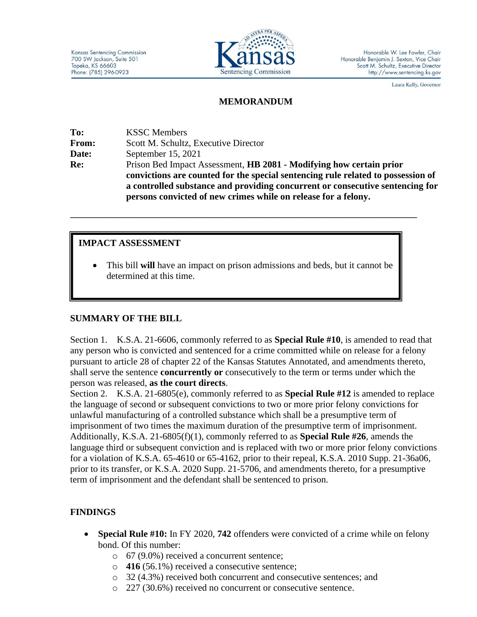

Laura Kelly, Governor

#### **MEMORANDUM**

**To:** KSSC Members **From:** Scott M. Schultz, Executive Director **Date:** September 15, 2021 **Re:** Prison Bed Impact Assessment, **HB 2081 - Modifying how certain prior convictions are counted for the special sentencing rule related to possession of a controlled substance and providing concurrent or consecutive sentencing for persons convicted of new crimes while on release for a felony.**

### **IMPACT ASSESSMENT**

• This bill **will** have an impact on prison admissions and beds, but it cannot be determined at this time.

**\_\_\_\_\_\_\_\_\_\_\_\_\_\_\_\_\_\_\_\_\_\_\_\_\_\_\_\_\_\_\_\_\_\_\_\_\_\_\_\_\_\_\_\_\_\_\_\_\_\_\_\_\_\_\_\_\_\_\_\_\_\_\_\_\_\_\_\_\_\_\_\_\_\_\_\_\_\_\_\_\_**

# **SUMMARY OF THE BILL**

Section 1. K.S.A. 21-6606, commonly referred to as **Special Rule #10**, is amended to read that any person who is convicted and sentenced for a crime committed while on release for a felony pursuant to article 28 of chapter 22 of the Kansas Statutes Annotated, and amendments thereto, shall serve the sentence **concurrently or** consecutively to the term or terms under which the person was released, **as the court directs**.

Section 2. K.S.A. 21-6805(e), commonly referred to as **Special Rule #12** is amended to replace the language of second or subsequent convictions to two or more prior felony convictions for unlawful manufacturing of a controlled substance which shall be a presumptive term of imprisonment of two times the maximum duration of the presumptive term of imprisonment. Additionally, K.S.A. 21-6805(f)(1), commonly referred to as **Special Rule #26**, amends the language third or subsequent conviction and is replaced with two or more prior felony convictions for a violation of K.S.A. 65-4610 or 65-4162, prior to their repeal, K.S.A. 2010 Supp. 21-36a06, prior to its transfer, or K.S.A. 2020 Supp. 21-5706, and amendments thereto, for a presumptive term of imprisonment and the defendant shall be sentenced to prison.

# **FINDINGS**

- **Special Rule #10:** In FY 2020, **742** offenders were convicted of a crime while on felony bond. Of this number:
	- o 67 (9.0%) received a concurrent sentence;
	- o **416** (56.1%) received a consecutive sentence;
	- o 32 (4.3%) received both concurrent and consecutive sentences; and
	- o 227 (30.6%) received no concurrent or consecutive sentence.